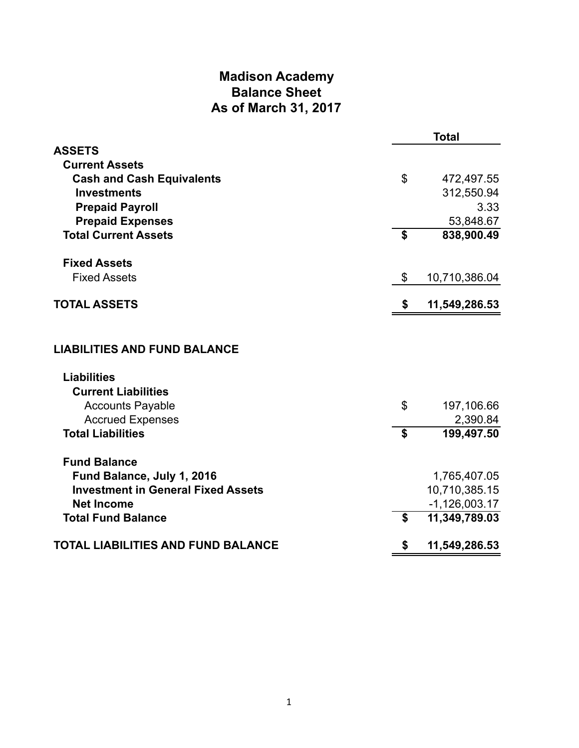# **Madison Academy Balance Sheet As of March 31, 2017**

|                                           |                   | <b>Total</b>    |
|-------------------------------------------|-------------------|-----------------|
| <b>ASSETS</b>                             |                   |                 |
| <b>Current Assets</b>                     |                   |                 |
| <b>Cash and Cash Equivalents</b>          | \$                | 472,497.55      |
| <b>Investments</b>                        |                   | 312,550.94      |
| <b>Prepaid Payroll</b>                    |                   | 3.33            |
| <b>Prepaid Expenses</b>                   |                   | 53,848.67       |
| <b>Total Current Assets</b>               | \$                | 838,900.49      |
| <b>Fixed Assets</b>                       |                   |                 |
| <b>Fixed Assets</b>                       | \$                | 10,710,386.04   |
| <b>TOTAL ASSETS</b>                       | \$                | 11,549,286.53   |
| <b>LIABILITIES AND FUND BALANCE</b>       |                   |                 |
|                                           |                   |                 |
| <b>Liabilities</b>                        |                   |                 |
| <b>Current Liabilities</b>                |                   |                 |
| <b>Accounts Payable</b>                   | $\mathcal{L}$     | 197,106.66      |
| <b>Accrued Expenses</b>                   |                   | 2,390.84        |
| <b>Total Liabilities</b>                  | $\boldsymbol{\$}$ | 199,497.50      |
| <b>Fund Balance</b>                       |                   |                 |
| Fund Balance, July 1, 2016                |                   | 1,765,407.05    |
| <b>Investment in General Fixed Assets</b> |                   | 10,710,385.15   |
| <b>Net Income</b>                         |                   | $-1,126,003.17$ |
| <b>Total Fund Balance</b>                 | \$                | 11,349,789.03   |
| <b>TOTAL LIABILITIES AND FUND BALANCE</b> | \$                | 11,549,286.53   |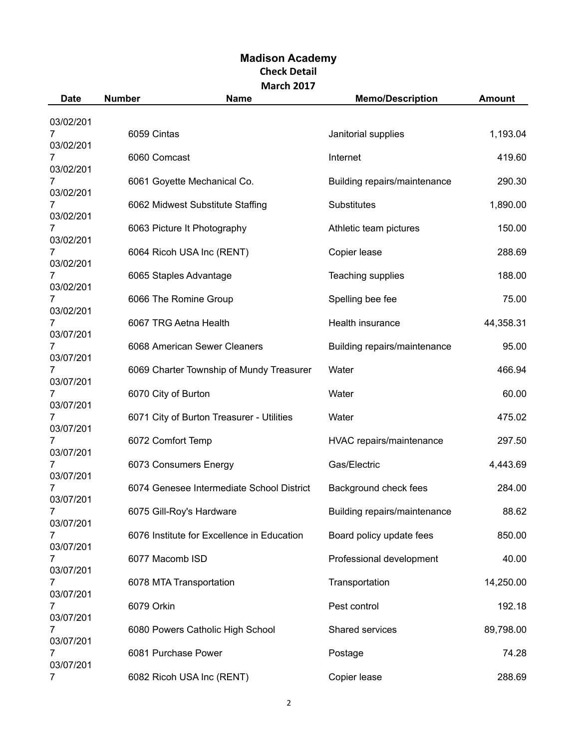| <b>Date</b>    | <b>Number</b>       | <b>Name</b>                                | <b>Memo/Description</b>      | <b>Amount</b> |  |  |
|----------------|---------------------|--------------------------------------------|------------------------------|---------------|--|--|
| 03/02/201      |                     |                                            |                              |               |  |  |
|                | 6059 Cintas         |                                            | Janitorial supplies          | 1,193.04      |  |  |
| 03/02/201      | 6060 Comcast        |                                            | Internet                     | 419.60        |  |  |
| 03/02/201      |                     |                                            |                              |               |  |  |
| 03/02/201      |                     | 6061 Goyette Mechanical Co.                | Building repairs/maintenance | 290.30        |  |  |
| 03/02/201      |                     | 6062 Midwest Substitute Staffing           | Substitutes                  | 1,890.00      |  |  |
|                |                     | 6063 Picture It Photography                | Athletic team pictures       | 150.00        |  |  |
| 03/02/201<br>7 |                     | 6064 Ricoh USA Inc (RENT)                  | Copier lease                 | 288.69        |  |  |
| 03/02/201      |                     |                                            |                              |               |  |  |
| 03/02/201      |                     | 6065 Staples Advantage                     | Teaching supplies            | 188.00        |  |  |
|                |                     | 6066 The Romine Group                      | Spelling bee fee             | 75.00         |  |  |
| 03/02/201      |                     |                                            |                              |               |  |  |
| 03/07/201      |                     | 6067 TRG Aetna Health                      | Health insurance             | 44,358.31     |  |  |
|                |                     | 6068 American Sewer Cleaners               | Building repairs/maintenance | 95.00         |  |  |
| 03/07/201      |                     | 6069 Charter Township of Mundy Treasurer   | Water                        | 466.94        |  |  |
| 03/07/201      |                     |                                            |                              |               |  |  |
| 03/07/201      | 6070 City of Burton |                                            | Water                        | 60.00         |  |  |
|                |                     | 6071 City of Burton Treasurer - Utilities  | Water                        | 475.02        |  |  |
| 03/07/201      | 6072 Comfort Temp   |                                            | HVAC repairs/maintenance     | 297.50        |  |  |
| 03/07/201      |                     |                                            |                              |               |  |  |
| 03/07/201      |                     | 6073 Consumers Energy                      | Gas/Electric                 | 4,443.69      |  |  |
|                |                     | 6074 Genesee Intermediate School District  | Background check fees        | 284.00        |  |  |
| 03/07/201<br>7 |                     | 6075 Gill-Roy's Hardware                   | Building repairs/maintenance | 88.62         |  |  |
| 03/07/201      |                     |                                            |                              |               |  |  |
| 03/07/201      |                     | 6076 Institute for Excellence in Education | Board policy update fees     | 850.00        |  |  |
|                | 6077 Macomb ISD     |                                            | Professional development     | 40.00         |  |  |
| 03/07/201      |                     | 6078 MTA Transportation                    | Transportation               | 14,250.00     |  |  |
| 03/07/201      |                     |                                            |                              |               |  |  |
| 7<br>03/07/201 | 6079 Orkin          |                                            | Pest control                 | 192.18        |  |  |
|                |                     | 6080 Powers Catholic High School           | Shared services              | 89,798.00     |  |  |
| 03/07/201      |                     |                                            |                              |               |  |  |
| 7<br>03/07/201 | 6081 Purchase Power |                                            | Postage                      | 74.28         |  |  |
| 7              |                     | 6082 Ricoh USA Inc (RENT)                  | Copier lease                 | 288.69        |  |  |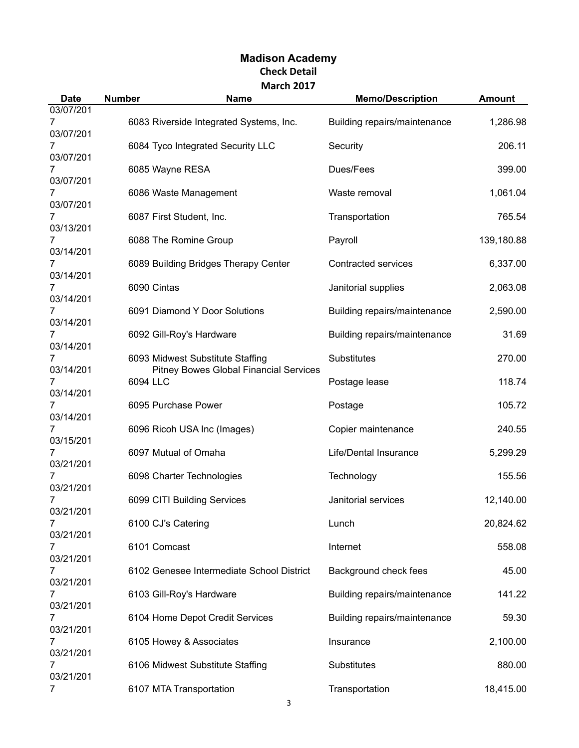| <b>Date</b>                 | <b>Number</b> | <b>Name</b>                                                                       | <b>Memo/Description</b>      | <b>Amount</b> |
|-----------------------------|---------------|-----------------------------------------------------------------------------------|------------------------------|---------------|
| 03/07/201<br>7<br>03/07/201 |               | 6083 Riverside Integrated Systems, Inc.                                           | Building repairs/maintenance | 1,286.98      |
| 03/07/201                   |               | 6084 Tyco Integrated Security LLC                                                 | Security                     | 206.11        |
| 03/07/201                   |               | 6085 Wayne RESA                                                                   | Dues/Fees                    | 399.00        |
| 03/07/201                   |               | 6086 Waste Management                                                             | Waste removal                | 1,061.04      |
| 7<br>03/13/201              |               | 6087 First Student, Inc.                                                          | Transportation               | 765.54        |
| 03/14/201                   |               | 6088 The Romine Group                                                             | Payroll                      | 139,180.88    |
| 03/14/201                   |               | 6089 Building Bridges Therapy Center                                              | <b>Contracted services</b>   | 6,337.00      |
| 03/14/201                   |               | 6090 Cintas                                                                       | Janitorial supplies          | 2,063.08      |
| 03/14/201                   |               | 6091 Diamond Y Door Solutions                                                     | Building repairs/maintenance | 2,590.00      |
| 03/14/201                   |               | 6092 Gill-Roy's Hardware                                                          | Building repairs/maintenance | 31.69         |
| 03/14/201                   |               | 6093 Midwest Substitute Staffing<br><b>Pitney Bowes Global Financial Services</b> | Substitutes                  | 270.00        |
| 03/14/201                   | 6094 LLC      |                                                                                   | Postage lease                | 118.74        |
| 03/14/201                   |               | 6095 Purchase Power                                                               | Postage                      | 105.72        |
| 03/15/201                   |               | 6096 Ricoh USA Inc (Images)                                                       | Copier maintenance           | 240.55        |
| 7<br>03/21/201              |               | 6097 Mutual of Omaha                                                              | Life/Dental Insurance        | 5,299.29      |
| 7<br>03/21/201              |               | 6098 Charter Technologies                                                         | Technology                   | 155.56        |
| 7<br>03/21/201              |               | 6099 CITI Building Services                                                       | Janitorial services          | 12,140.00     |
| 7<br>03/21/201              |               | 6100 CJ's Catering                                                                | Lunch                        | 20,824.62     |
| 7<br>03/21/201              |               | 6101 Comcast                                                                      | Internet                     | 558.08        |
| 7<br>03/21/201              |               | 6102 Genesee Intermediate School District                                         | Background check fees        | 45.00         |
| 7<br>03/21/201              |               | 6103 Gill-Roy's Hardware                                                          | Building repairs/maintenance | 141.22        |
| 7<br>03/21/201              |               | 6104 Home Depot Credit Services                                                   | Building repairs/maintenance | 59.30         |
| 7<br>03/21/201              |               | 6105 Howey & Associates                                                           | Insurance                    | 2,100.00      |
| 7<br>03/21/201              |               | 6106 Midwest Substitute Staffing                                                  | Substitutes                  | 880.00        |
| 7                           |               | 6107 MTA Transportation                                                           | Transportation               | 18,415.00     |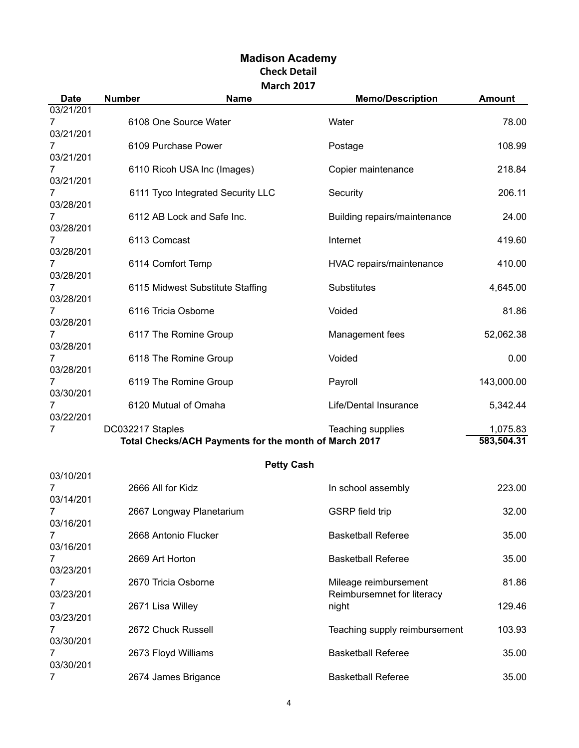| <b>Date</b>                 | <b>Number</b>    | <b>Name</b>                                           | <b>Memo/Description</b>                             | <b>Amount</b>          |
|-----------------------------|------------------|-------------------------------------------------------|-----------------------------------------------------|------------------------|
| 03/21/201<br>7              |                  | 6108 One Source Water                                 | Water                                               | 78.00                  |
| 03/21/201<br>03/21/201      |                  | 6109 Purchase Power                                   | Postage                                             | 108.99                 |
| 03/21/201                   |                  | 6110 Ricoh USA Inc (Images)                           | Copier maintenance                                  | 218.84                 |
| 7<br>03/28/201              |                  | 6111 Tyco Integrated Security LLC                     | Security                                            | 206.11                 |
| 7<br>03/28/201              |                  | 6112 AB Lock and Safe Inc.                            | Building repairs/maintenance                        | 24.00                  |
| 7<br>03/28/201              | 6113 Comcast     |                                                       | Internet                                            | 419.60                 |
| 7<br>03/28/201              |                  | 6114 Comfort Temp                                     | HVAC repairs/maintenance                            | 410.00                 |
| 7<br>03/28/201              |                  | 6115 Midwest Substitute Staffing                      | <b>Substitutes</b>                                  | 4,645.00               |
| 7<br>03/28/201              |                  | 6116 Tricia Osborne                                   | Voided                                              | 81.86                  |
| 7<br>03/28/201              |                  | 6117 The Romine Group                                 | Management fees                                     | 52,062.38              |
| 7<br>03/28/201              |                  | 6118 The Romine Group                                 | Voided                                              | 0.00                   |
| 7<br>03/30/201              |                  | 6119 The Romine Group                                 | Payroll                                             | 143,000.00             |
| 7<br>03/22/201              |                  | 6120 Mutual of Omaha                                  | Life/Dental Insurance                               | 5,342.44               |
| 7                           | DC032217 Staples | Total Checks/ACH Payments for the month of March 2017 | Teaching supplies                                   | 1,075.83<br>583,504.31 |
| 03/10/201                   |                  | <b>Petty Cash</b>                                     |                                                     |                        |
| 7<br>03/14/201              |                  | 2666 All for Kidz                                     | In school assembly                                  | 223.00                 |
| 7<br>03/16/201              |                  | 2667 Longway Planetarium                              | <b>GSRP</b> field trip                              | 32.00                  |
| 7<br>03/16/201              |                  | 2668 Antonio Flucker                                  | <b>Basketball Referee</b>                           | 35.00                  |
| 7<br>03/23/201              |                  | 2669 Art Horton                                       | <b>Basketball Referee</b>                           | 35.00                  |
| 7<br>03/23/201              |                  | 2670 Tricia Osborne                                   | Mileage reimbursement<br>Reimbursemnet for literacy | 81.86                  |
| 7                           |                  | 2671 Lisa Willey                                      | night                                               | 129.46                 |
| 03/23/201<br>7<br>03/30/201 |                  | 2672 Chuck Russell                                    | Teaching supply reimbursement                       | 103.93                 |
| 7                           |                  | 2673 Floyd Williams                                   | <b>Basketball Referee</b>                           | 35.00                  |
| 03/30/201<br>7              |                  | 2674 James Brigance                                   | <b>Basketball Referee</b>                           | 35.00                  |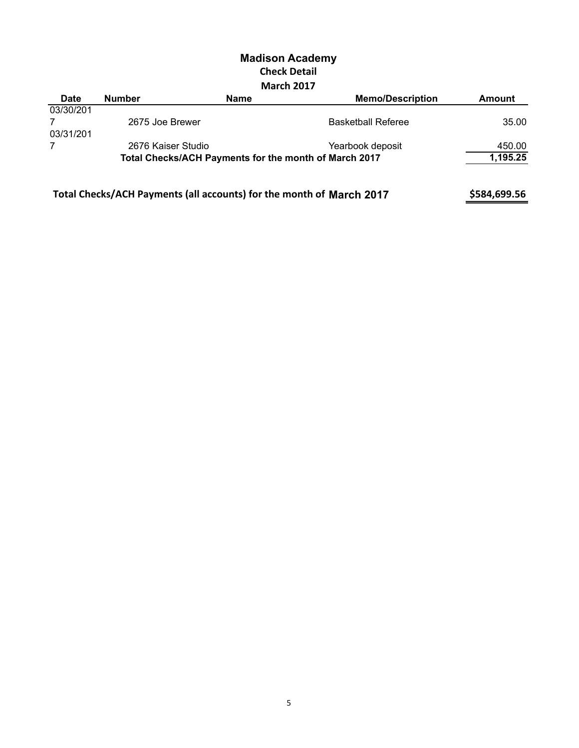| <b>Date</b> | <b>Number</b>                                                        | <b>Name</b> | <b>Memo/Description</b>   | Amount       |
|-------------|----------------------------------------------------------------------|-------------|---------------------------|--------------|
| 03/30/201   |                                                                      |             |                           |              |
|             | 2675 Joe Brewer                                                      |             | <b>Basketball Referee</b> | 35.00        |
| 03/31/201   |                                                                      |             |                           |              |
| 7           | 2676 Kaiser Studio                                                   |             | Yearbook deposit          | 450.00       |
|             | Total Checks/ACH Payments for the month of March 2017                |             |                           | 1,195.25     |
|             | Total Checks/ACH Payments (all accounts) for the month of March 2017 |             |                           | \$584,699.56 |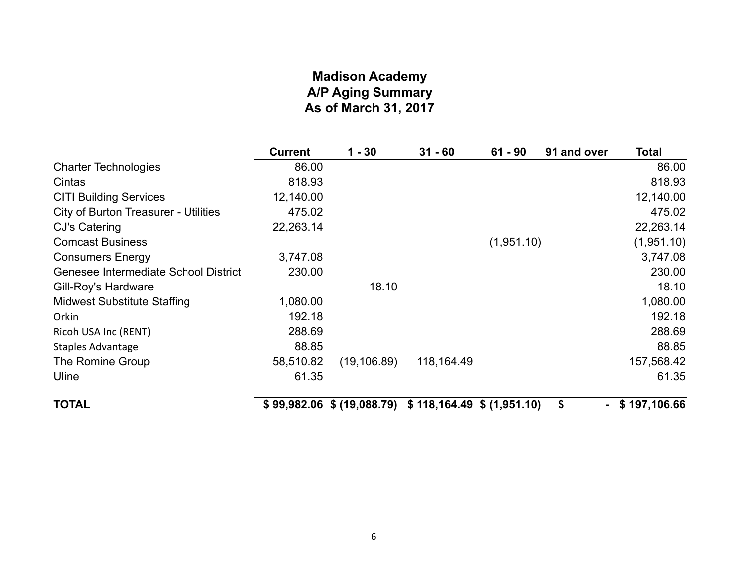# **Madison Academy A/P Aging Summary As of March 31, 2017**

|                                             | <b>Current</b> | $1 - 30$     | $31 - 60$                                                 | $61 - 90$  | 91 and over          | <b>Total</b> |
|---------------------------------------------|----------------|--------------|-----------------------------------------------------------|------------|----------------------|--------------|
| <b>Charter Technologies</b>                 | 86.00          |              |                                                           |            |                      | 86.00        |
| Cintas                                      | 818.93         |              |                                                           |            |                      | 818.93       |
| <b>CITI Building Services</b>               | 12,140.00      |              |                                                           |            |                      | 12,140.00    |
| <b>City of Burton Treasurer - Utilities</b> | 475.02         |              |                                                           |            |                      | 475.02       |
| CJ's Catering                               | 22,263.14      |              |                                                           |            |                      | 22,263.14    |
| <b>Comcast Business</b>                     |                |              |                                                           | (1,951.10) |                      | (1,951.10)   |
| <b>Consumers Energy</b>                     | 3,747.08       |              |                                                           |            |                      | 3,747.08     |
| Genesee Intermediate School District        | 230.00         |              |                                                           |            |                      | 230.00       |
| Gill-Roy's Hardware                         |                | 18.10        |                                                           |            |                      | 18.10        |
| <b>Midwest Substitute Staffing</b>          | 1,080.00       |              |                                                           |            |                      | 1,080.00     |
| Orkin                                       | 192.18         |              |                                                           |            |                      | 192.18       |
| Ricoh USA Inc (RENT)                        | 288.69         |              |                                                           |            |                      | 288.69       |
| Staples Advantage                           | 88.85          |              |                                                           |            |                      | 88.85        |
| The Romine Group                            | 58,510.82      | (19, 106.89) | 118, 164. 49                                              |            |                      | 157,568.42   |
| Uline                                       | 61.35          |              |                                                           |            |                      | 61.35        |
| <b>TOTAL</b>                                |                |              | $$99,982.06$ $$ (19,088.79)$ $$118,164.49$ $$ (1,951.10)$ |            | \$<br>$\blacksquare$ | \$197,106.66 |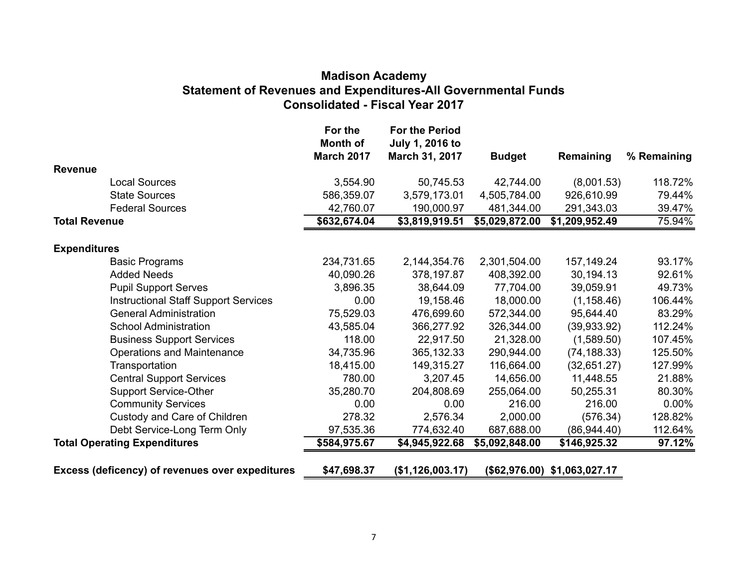### **Madison Academy Statement of Revenues and Expenditures-All Governmental Funds Consolidated - Fiscal Year 2017**

|                                                 | For the<br>Month of<br><b>March 2017</b> | <b>For the Period</b><br>July 1, 2016 to<br>March 31, 2017 | <b>Budget</b>  | Remaining                    | % Remaining |
|-------------------------------------------------|------------------------------------------|------------------------------------------------------------|----------------|------------------------------|-------------|
| <b>Revenue</b>                                  |                                          |                                                            |                |                              |             |
| <b>Local Sources</b>                            | 3,554.90                                 | 50,745.53                                                  | 42,744.00      | (8,001.53)                   | 118.72%     |
| <b>State Sources</b>                            | 586,359.07                               | 3,579,173.01                                               | 4,505,784.00   | 926,610.99                   | 79.44%      |
| <b>Federal Sources</b>                          | 42,760.07                                | 190,000.97                                                 | 481,344.00     | 291,343.03                   | 39.47%      |
| <b>Total Revenue</b>                            | \$632,674.04                             | \$3,819,919.51                                             | \$5,029,872.00 | \$1,209,952.49               | 75.94%      |
| <b>Expenditures</b>                             |                                          |                                                            |                |                              |             |
| <b>Basic Programs</b>                           | 234,731.65                               | 2,144,354.76                                               | 2,301,504.00   | 157, 149. 24                 | 93.17%      |
| <b>Added Needs</b>                              | 40,090.26                                | 378,197.87                                                 | 408,392.00     | 30,194.13                    | 92.61%      |
| <b>Pupil Support Serves</b>                     | 3,896.35                                 | 38,644.09                                                  | 77,704.00      | 39,059.91                    | 49.73%      |
| <b>Instructional Staff Support Services</b>     | 0.00                                     | 19,158.46                                                  | 18,000.00      | (1, 158.46)                  | 106.44%     |
| <b>General Administration</b>                   | 75,529.03                                | 476,699.60                                                 | 572,344.00     | 95,644.40                    | 83.29%      |
| <b>School Administration</b>                    | 43,585.04                                | 366,277.92                                                 | 326,344.00     | (39,933.92)                  | 112.24%     |
| <b>Business Support Services</b>                | 118.00                                   | 22,917.50                                                  | 21,328.00      | (1,589.50)                   | 107.45%     |
| Operations and Maintenance                      | 34,735.96                                | 365, 132. 33                                               | 290,944.00     | (74, 188.33)                 | 125.50%     |
| Transportation                                  | 18,415.00                                | 149,315.27                                                 | 116,664.00     | (32,651.27)                  | 127.99%     |
| <b>Central Support Services</b>                 | 780.00                                   | 3,207.45                                                   | 14,656.00      | 11,448.55                    | 21.88%      |
| <b>Support Service-Other</b>                    | 35,280.70                                | 204,808.69                                                 | 255,064.00     | 50,255.31                    | 80.30%      |
| <b>Community Services</b>                       | 0.00                                     | 0.00                                                       | 216.00         | 216.00                       | $0.00\%$    |
| Custody and Care of Children                    | 278.32                                   | 2,576.34                                                   | 2,000.00       | (576.34)                     | 128.82%     |
| Debt Service-Long Term Only                     | 97,535.36                                | 774,632.40                                                 | 687,688.00     | (86,944.40)                  | 112.64%     |
| <b>Total Operating Expenditures</b>             | \$584,975.67                             | \$4,945,922.68                                             | \$5,092,848.00 | \$146,925.32                 | 97.12%      |
| Excess (deficency) of revenues over expeditures | \$47,698.37                              | (\$1,126,003.17)                                           |                | (\$62,976.00) \$1,063,027.17 |             |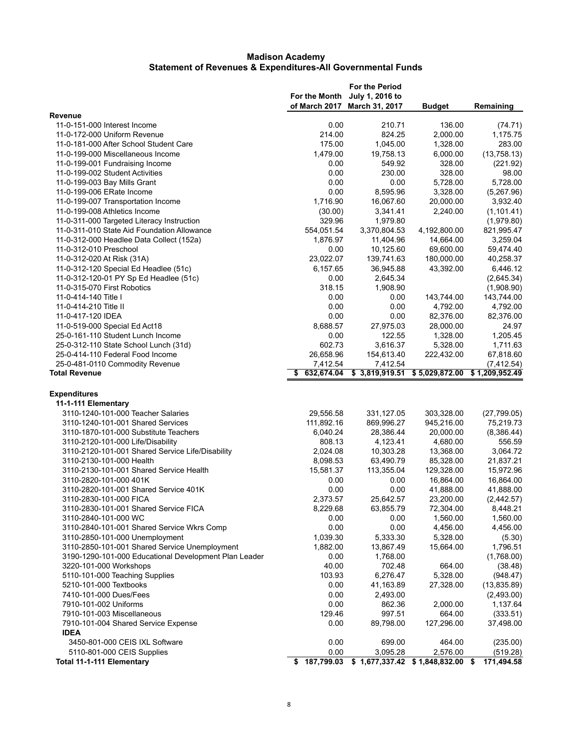|                                                       | For the Month<br>of March 2017 | <b>For the Period</b><br>July 1, 2016 to<br>March 31, 2017 | <b>Budget</b>  | Remaining      |
|-------------------------------------------------------|--------------------------------|------------------------------------------------------------|----------------|----------------|
| <b>Revenue</b>                                        |                                |                                                            |                |                |
| 11-0-151-000 Interest Income                          | 0.00                           | 210.71                                                     | 136.00         | (74.71)        |
| 11-0-172-000 Uniform Revenue                          | 214.00                         | 824.25                                                     | 2,000.00       | 1,175.75       |
| 11-0-181-000 After School Student Care                | 175.00                         | 1,045.00                                                   | 1,328.00       | 283.00         |
| 11-0-199-000 Miscellaneous Income                     | 1,479.00                       | 19,758.13                                                  | 6,000.00       | (13,758.13)    |
| 11-0-199-001 Fundraising Income                       | 0.00                           | 549.92                                                     | 328.00         | (221.92)       |
| 11-0-199-002 Student Activities                       | 0.00                           | 230.00                                                     | 328.00         | 98.00          |
| 11-0-199-003 Bay Mills Grant                          | 0.00                           | 0.00                                                       | 5,728.00       | 5,728.00       |
| 11-0-199-006 ERate Income                             | 0.00                           | 8,595.96                                                   | 3,328.00       | (5,267.96)     |
| 11-0-199-007 Transportation Income                    | 1,716.90                       | 16,067.60                                                  | 20,000.00      | 3,932.40       |
| 11-0-199-008 Athletics Income                         | (30.00)                        | 3,341.41                                                   | 2,240.00       | (1, 101.41)    |
| 11-0-311-000 Targeted Literacy Instruction            | 329.96                         | 1,979.80                                                   |                | (1,979.80)     |
| 11-0-311-010 State Aid Foundation Allowance           | 554,051.54                     | 3,370,804.53                                               | 4,192,800.00   | 821,995.47     |
| 11-0-312-000 Headlee Data Collect (152a)              | 1,876.97                       | 11,404.96                                                  | 14,664.00      | 3,259.04       |
| 11-0-312-010 Preschool                                | 0.00                           | 10,125.60                                                  | 69,600.00      | 59,474.40      |
| 11-0-312-020 At Risk (31A)                            | 23,022.07                      | 139,741.63                                                 | 180,000.00     | 40,258.37      |
| 11-0-312-120 Special Ed Headlee (51c)                 | 6,157.65                       | 36,945.88                                                  | 43,392.00      | 6,446.12       |
| 11-0-312-120-01 PY Sp Ed Headlee (51c)                | 0.00                           | 2,645.34                                                   |                | (2,645.34)     |
| 11-0-315-070 First Robotics                           | 318.15                         | 1,908.90                                                   |                | (1,908.90)     |
| 11-0-414-140 Title I                                  | 0.00                           | 0.00                                                       | 143,744.00     | 143,744.00     |
| 11-0-414-210 Title II                                 | 0.00                           | 0.00                                                       | 4,792.00       | 4,792.00       |
| 11-0-417-120 IDEA                                     | 0.00                           | 0.00                                                       | 82,376.00      | 82,376.00      |
| 11-0-519-000 Special Ed Act18                         | 8,688.57                       | 27,975.03                                                  | 28,000.00      | 24.97          |
| 25-0-161-110 Student Lunch Income                     | 0.00                           | 122.55                                                     | 1,328.00       | 1,205.45       |
| 25-0-312-110 State School Lunch (31d)                 | 602.73                         | 3,616.37                                                   | 5,328.00       | 1,711.63       |
| 25-0-414-110 Federal Food Income                      | 26,658.96                      | 154,613.40                                                 | 222,432.00     | 67,818.60      |
| 25-0-481-0110 Commodity Revenue                       | 7,412.54                       | 7,412.54                                                   |                | (7, 412.54)    |
| <b>Total Revenue</b>                                  | 632,674.04                     | \$3,819,919.51                                             | \$5,029,872.00 | \$1,209,952.49 |
| <b>Expenditures</b>                                   |                                |                                                            |                |                |
| 11-1-111 Elementary                                   |                                |                                                            |                |                |
| 3110-1240-101-000 Teacher Salaries                    | 29,556.58                      | 331,127.05                                                 | 303,328.00     | (27, 799.05)   |
| 3110-1240-101-001 Shared Services                     | 111,892.16                     | 869,996.27                                                 | 945,216.00     | 75,219.73      |
| 3110-1870-101-000 Substitute Teachers                 | 6,040.24                       | 28,386.44                                                  | 20,000.00      | (8,386.44)     |
| 3110-2120-101-000 Life/Disability                     | 808.13                         | 4,123.41                                                   | 4,680.00       | 556.59         |
| 3110-2120-101-001 Shared Service Life/Disability      | 2,024.08                       | 10,303.28                                                  | 13,368.00      | 3,064.72       |
| 3110-2130-101-000 Health                              | 8,098.53                       | 63,490.79                                                  | 85,328.00      | 21,837.21      |
| 3110-2130-101-001 Shared Service Health               | 15,581.37                      | 113,355.04                                                 | 129,328.00     | 15,972.96      |
| 3110-2820-101-000 401K                                | 0.00                           | 0.00                                                       | 16,864.00      | 16,864.00      |
| 3110-2820-101-001 Shared Service 401K                 | 0.00                           | 0.00                                                       | 41,888.00      | 41,888.00      |
| 3110-2830-101-000 FICA                                | 2,373.57                       | 25,642.57                                                  | 23,200.00      | (2,442.57)     |
| 3110-2830-101-001 Shared Service FICA                 | 8,229.68                       | 63,855.79                                                  | 72,304.00      | 8,448.21       |
| 3110-2840-101-000 WC                                  | 0.00                           | 0.00                                                       | 1,560.00       | 1,560.00       |
| 3110-2840-101-001 Shared Service Wkrs Comp            | 0.00                           | 0.00                                                       | 4,456.00       | 4,456.00       |
| 3110-2850-101-000 Unemployment                        | 1,039.30                       | 5,333.30                                                   | 5,328.00       | (5.30)         |
| 3110-2850-101-001 Shared Service Unemployment         | 1,882.00                       | 13,867.49                                                  | 15,664.00      | 1,796.51       |
| 3190-1290-101-000 Educational Development Plan Leader | 0.00                           | 1,768.00                                                   |                | (1,768.00)     |
| 3220-101-000 Workshops                                | 40.00                          | 702.48                                                     | 664.00         | (38.48)        |
| 5110-101-000 Teaching Supplies                        | 103.93                         | 6,276.47                                                   | 5,328.00       | (948.47)       |
| 5210-101-000 Textbooks                                | 0.00                           | 41,163.89                                                  | 27,328.00      | (13,835.89)    |
| 7410-101-000 Dues/Fees                                | 0.00                           | 2,493.00                                                   |                | (2,493.00)     |
| 7910-101-002 Uniforms                                 | 0.00                           | 862.36                                                     | 2,000.00       | 1,137.64       |
| 7910-101-003 Miscellaneous                            | 129.46                         | 997.51                                                     | 664.00         | (333.51)       |
| 7910-101-004 Shared Service Expense                   | 0.00                           | 89,798.00                                                  | 127,296.00     | 37,498.00      |
| <b>IDEA</b>                                           |                                |                                                            |                |                |
| 3450-801-000 CEIS IXL Software                        | 0.00                           | 699.00                                                     | 464.00         | (235.00)       |
| 5110-801-000 CEIS Supplies                            | 0.00                           | 3,095.28                                                   | 2,576.00       | (519.28)       |
| Total 11-1-111 Elementary                             |                                | \$ 187,799.03 \$ 1,677,337.42 \$ 1,848,832.00 \$           |                | 171,494.58     |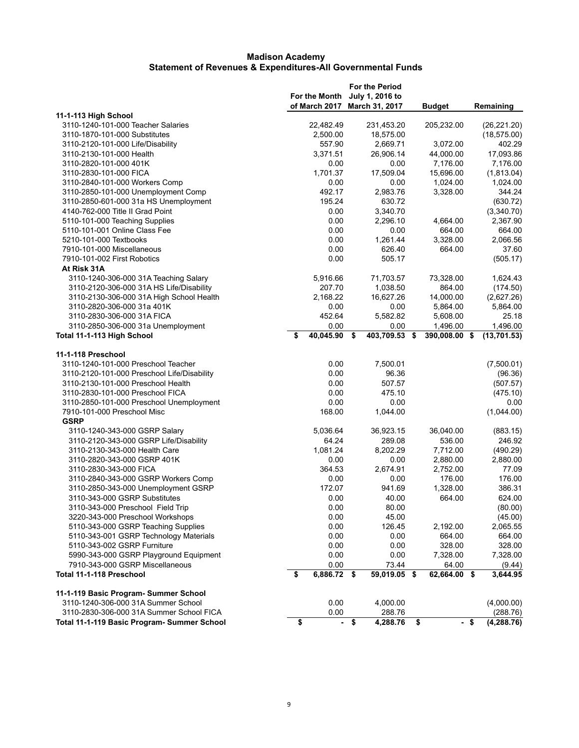|                                             | For the Month<br>of March 2017 |        | <b>For the Period</b><br>July 1, 2016 to<br>March 31, 2017 |                                      | <b>Budget</b> |      | Remaining    |
|---------------------------------------------|--------------------------------|--------|------------------------------------------------------------|--------------------------------------|---------------|------|--------------|
| 11-1-113 High School                        |                                |        |                                                            |                                      |               |      |              |
| 3110-1240-101-000 Teacher Salaries          | 22,482.49                      |        | 231,453.20                                                 |                                      | 205,232.00    |      | (26, 221.20) |
| 3110-1870-101-000 Substitutes               | 2,500.00                       |        | 18,575.00                                                  |                                      |               |      | (18, 575.00) |
| 3110-2120-101-000 Life/Disability           | 557.90                         |        | 2.669.71                                                   |                                      | 3,072.00      |      | 402.29       |
| 3110-2130-101-000 Health                    | 3,371.51                       |        | 26,906.14                                                  |                                      | 44,000.00     |      | 17,093.86    |
| 3110-2820-101-000 401K                      | 0.00                           |        | 0.00                                                       |                                      | 7,176.00      |      | 7,176.00     |
| 3110-2830-101-000 FICA                      | 1,701.37                       |        | 17,509.04                                                  |                                      | 15,696.00     |      | (1,813.04)   |
| 3110-2840-101-000 Workers Comp              | 0.00                           |        | 0.00                                                       |                                      | 1,024.00      |      | 1,024.00     |
| 3110-2850-101-000 Unemployment Comp         | 492.17                         |        | 2,983.76                                                   |                                      | 3,328.00      |      | 344.24       |
| 3110-2850-601-000 31a HS Unemployment       | 195.24                         |        | 630.72                                                     |                                      |               |      | (630.72)     |
| 4140-762-000 Title II Grad Point            | 0.00                           |        | 3,340.70                                                   |                                      |               |      | (3,340.70)   |
| 5110-101-000 Teaching Supplies              | 0.00                           |        | 2,296.10                                                   |                                      | 4,664.00      |      | 2,367.90     |
| 5110-101-001 Online Class Fee               | 0.00                           |        | 0.00                                                       |                                      | 664.00        |      | 664.00       |
| 5210-101-000 Textbooks                      | 0.00                           |        | 1,261.44                                                   |                                      | 3,328.00      |      | 2,066.56     |
| 7910-101-000 Miscellaneous                  | 0.00                           |        | 626.40                                                     |                                      | 664.00        |      | 37.60        |
| 7910-101-002 First Robotics                 | 0.00                           |        | 505.17                                                     |                                      |               |      | (505.17)     |
| At Risk 31A                                 |                                |        |                                                            |                                      |               |      |              |
| 3110-1240-306-000 31A Teaching Salary       | 5,916.66                       |        | 71,703.57                                                  |                                      | 73,328.00     |      | 1,624.43     |
| 3110-2120-306-000 31A HS Life/Disability    | 207.70                         |        | 1,038.50                                                   |                                      | 864.00        |      | (174.50)     |
| 3110-2130-306-000 31A High School Health    | 2,168.22                       |        | 16.627.26                                                  |                                      | 14,000.00     |      | (2,627.26)   |
| 3110-2820-306-000 31a 401K                  | 0.00                           |        | 0.00                                                       |                                      | 5,864.00      |      | 5,864.00     |
| 3110-2830-306-000 31A FICA                  | 452.64                         |        | 5,582.82                                                   |                                      | 5,608.00      |      | 25.18        |
| 3110-2850-306-000 31a Unemployment          | 0.00                           |        | 0.00                                                       |                                      | 1,496.00      |      | 1,496.00     |
| Total 11-1-113 High School                  | \$<br>40,045.90                | \$     | 403,709.53 \$                                              |                                      | 390,008.00 \$ |      | (13, 701.53) |
|                                             |                                |        |                                                            |                                      |               |      |              |
| 11-1-118 Preschool                          |                                |        |                                                            |                                      |               |      |              |
| 3110-1240-101-000 Preschool Teacher         | 0.00                           |        | 7,500.01                                                   |                                      |               |      | (7,500.01)   |
| 3110-2120-101-000 Preschool Life/Disability | 0.00                           |        | 96.36                                                      |                                      |               |      | (96.36)      |
| 3110-2130-101-000 Preschool Health          | 0.00                           |        | 507.57                                                     |                                      |               |      | (507.57)     |
| 3110-2830-101-000 Preschool FICA            | 0.00                           |        | 475.10                                                     |                                      |               |      | (475.10)     |
| 3110-2850-101-000 Preschool Unemployment    | 0.00                           |        | 0.00                                                       |                                      |               |      | 0.00         |
| 7910-101-000 Preschool Misc                 | 168.00                         |        | 1,044.00                                                   |                                      |               |      | (1,044.00)   |
| <b>GSRP</b>                                 |                                |        |                                                            |                                      |               |      |              |
| 3110-1240-343-000 GSRP Salary               | 5,036.64                       |        | 36,923.15                                                  |                                      | 36,040.00     |      | (883.15)     |
| 3110-2120-343-000 GSRP Life/Disability      | 64.24                          |        | 289.08                                                     |                                      | 536.00        |      | 246.92       |
| 3110-2130-343-000 Health Care               | 1,081.24                       |        | 8,202.29                                                   |                                      | 7,712.00      |      | (490.29)     |
| 3110-2820-343-000 GSRP 401K                 | 0.00                           |        | 0.00                                                       |                                      | 2,880.00      |      | 2,880.00     |
| 3110-2830-343-000 FICA                      | 364.53                         |        | 2,674.91                                                   |                                      | 2,752.00      |      | 77.09        |
| 3110-2840-343-000 GSRP Workers Comp         | 0.00                           |        | 0.00                                                       |                                      | 176.00        |      | 176.00       |
| 3110-2850-343-000 Unemployment GSRP         | 172.07                         |        | 941.69                                                     |                                      | 1,328.00      |      | 386.31       |
| 3110-343-000 GSRP Substitutes               | 0.00                           |        | 40.00                                                      |                                      | 664.00        |      | 624.00       |
| 3110-343-000 Preschool Field Trip           | 0.00                           |        | 80.00                                                      |                                      |               |      | (80.00)      |
| 3220-343-000 Preschool Workshops            | 0.00                           |        | 45.00                                                      |                                      |               |      | (45.00)      |
| 5110-343-000 GSRP Teaching Supplies         | 0.00                           |        | 126.45                                                     |                                      | 2,192.00      |      | 2,065.55     |
| 5110-343-001 GSRP Technology Materials      | 0.00                           |        | 0.00                                                       |                                      | 664.00        |      | 664.00       |
| 5110-343-002 GSRP Furniture                 | 0.00                           |        | 0.00                                                       |                                      | 328.00        |      | 328.00       |
| 5990-343-000 GSRP Playground Equipment      | 0.00                           |        | 0.00                                                       |                                      | 7,328.00      |      | 7,328.00     |
| 7910-343-000 GSRP Miscellaneous             | 0.00                           |        | 73.44                                                      |                                      | 64.00         |      | (9.44)       |
| Total 11-1-118 Preschool                    | \$<br>$6,886.72$ \$            |        | $59,019.05$ \$                                             |                                      | 62,664.00 \$  |      | 3,644.95     |
| 11-1-119 Basic Program- Summer School       |                                |        |                                                            |                                      |               |      |              |
| 3110-1240-306-000 31A Summer School         | 0.00                           |        | 4,000.00                                                   |                                      |               |      | (4,000.00)   |
| 3110-2830-306-000 31A Summer School FICA    | 0.00                           |        | 288.76                                                     |                                      |               |      | (288.76)     |
| Total 11-1-119 Basic Program- Summer School | \$                             | $-$ \$ | 4,288.76                                                   | $\overline{\boldsymbol{\mathsf{s}}}$ |               | - \$ | (4, 288.76)  |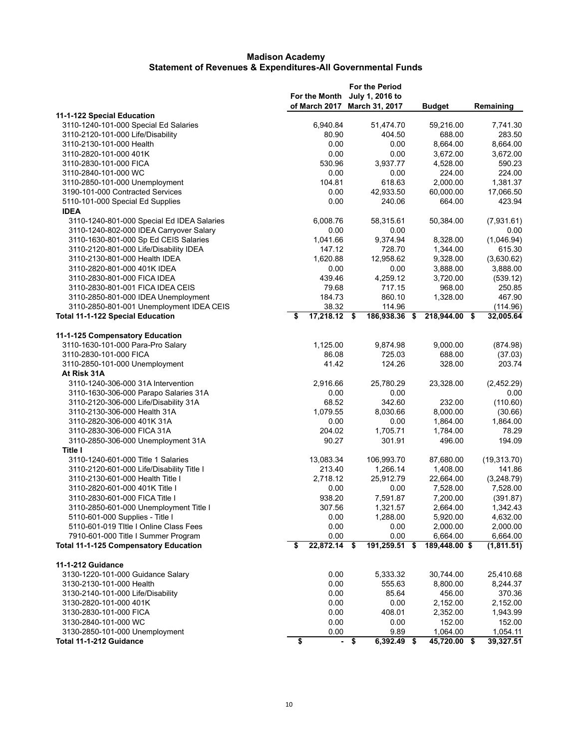|                                                 |                      |      | <b>For the Period</b> |               |              |
|-------------------------------------------------|----------------------|------|-----------------------|---------------|--------------|
|                                                 | For the Month        |      | July 1, 2016 to       |               |              |
|                                                 | of March 2017        |      | March 31, 2017        | <b>Budget</b> | Remaining    |
| 11-1-122 Special Education                      |                      |      |                       |               |              |
| 3110-1240-101-000 Special Ed Salaries           | 6,940.84             |      | 51,474.70             | 59,216.00     | 7,741.30     |
| 3110-2120-101-000 Life/Disability               | 80.90                |      | 404.50                | 688.00        | 283.50       |
| 3110-2130-101-000 Health                        | 0.00                 |      | 0.00                  | 8,664.00      | 8,664.00     |
| 3110-2820-101-000 401K                          | 0.00                 |      | 0.00                  | 3,672.00      | 3,672.00     |
| 3110-2830-101-000 FICA                          | 530.96               |      | 3,937.77              | 4,528.00      | 590.23       |
| 3110-2840-101-000 WC                            | 0.00                 |      | 0.00                  | 224.00        | 224.00       |
| 3110-2850-101-000 Unemployment                  | 104.81               |      | 618.63                | 2,000.00      | 1,381.37     |
| 3190-101-000 Contracted Services                | 0.00                 |      | 42,933.50             | 60,000.00     | 17,066.50    |
|                                                 | 0.00                 |      | 240.06                | 664.00        | 423.94       |
| 5110-101-000 Special Ed Supplies<br><b>IDEA</b> |                      |      |                       |               |              |
|                                                 |                      |      |                       |               |              |
| 3110-1240-801-000 Special Ed IDEA Salaries      | 6,008.76             |      | 58,315.61             | 50,384.00     | (7,931.61)   |
| 3110-1240-802-000 IDEA Carryover Salary         | 0.00                 |      | 0.00                  |               | 0.00         |
| 3110-1630-801-000 Sp Ed CEIS Salaries           | 1,041.66             |      | 9,374.94              | 8,328.00      | (1,046.94)   |
| 3110-2120-801-000 Life/Disability IDEA          | 147.12               |      | 728.70                | 1,344.00      | 615.30       |
| 3110-2130-801-000 Health IDEA                   | 1,620.88             |      | 12,958.62             | 9,328.00      | (3,630.62)   |
| 3110-2820-801-000 401K IDEA                     | 0.00                 |      | 0.00                  | 3,888.00      | 3,888.00     |
| 3110-2830-801-000 FICA IDEA                     | 439.46               |      | 4,259.12              | 3,720.00      | (539.12)     |
| 3110-2830-801-001 FICA IDEA CEIS                | 79.68                |      | 717.15                | 968.00        | 250.85       |
| 3110-2850-801-000 IDEA Unemployment             | 184.73               |      | 860.10                | 1,328.00      | 467.90       |
| 3110-2850-801-001 Unemployment IDEA CEIS        | 38.32                |      | 114.96                |               | (114.96)     |
| <b>Total 11-1-122 Special Education</b>         | 17,218.12 \$         |      | 186,938.36 \$         | 218,944.00 \$ | 32,005.64    |
|                                                 |                      |      |                       |               |              |
| 11-1-125 Compensatory Education                 |                      |      |                       |               |              |
| 3110-1630-101-000 Para-Pro Salary               | 1,125.00             |      | 9,874.98              | 9,000.00      | (874.98)     |
| 3110-2830-101-000 FICA                          | 86.08                |      | 725.03                | 688.00        | (37.03)      |
| 3110-2850-101-000 Unemployment                  | 41.42                |      | 124.26                | 328.00        | 203.74       |
| At Risk 31A                                     |                      |      |                       |               |              |
| 3110-1240-306-000 31A Intervention              | 2,916.66             |      | 25,780.29             | 23,328.00     | (2,452.29)   |
| 3110-1630-306-000 Parapo Salaries 31A           | 0.00                 |      | 0.00                  |               | 0.00         |
| 3110-2120-306-000 Life/Disability 31A           | 68.52                |      | 342.60                | 232.00        | (110.60)     |
| 3110-2130-306-000 Health 31A                    | 1,079.55             |      | 8,030.66              | 8,000.00      | (30.66)      |
| 3110-2820-306-000 401K 31A                      | 0.00                 |      | 0.00                  | 1,864.00      | 1,864.00     |
| 3110-2830-306-000 FICA 31A                      | 204.02               |      | 1,705.71              | 1,784.00      | 78.29        |
| 3110-2850-306-000 Unemployment 31A              | 90.27                |      | 301.91                | 496.00        | 194.09       |
| <b>Title I</b>                                  |                      |      |                       |               |              |
| 3110-1240-601-000 Title 1 Salaries              | 13,083.34            |      | 106,993.70            | 87,680.00     | (19, 313.70) |
| 3110-2120-601-000 Life/Disability Title I       | 213.40               |      | 1,266.14              | 1,408.00      | 141.86       |
| 3110-2130-601-000 Health Title I                | 2,718.12             |      | 25,912.79             | 22,664.00     | (3,248.79)   |
| 3110-2820-601-000 401K Title I                  | 0.00                 |      | 0.00                  | 7,528.00      | 7,528.00     |
| 3110-2830-601-000 FICA Title I                  | 938.20               |      | 7,591.87              | 7,200.00      | (391.87)     |
|                                                 |                      |      |                       |               |              |
| 3110-2850-601-000 Unemployment Title I          | 307.56               |      | 1,321.57              | 2,664.00      | 1,342.43     |
| 5110-601-000 Supplies - Title I                 | 0.00                 |      | 1,288.00              | 5,920.00      | 4,632.00     |
| 5110-601-019 Title I Online Class Fees          | 0.00                 |      | 0.00                  | 2,000.00      | 2,000.00     |
| 7910-601-000 Title I Summer Program             | 0.00                 |      | 0.00                  | 6,664.00      | 6,664.00     |
| <b>Total 11-1-125 Compensatory Education</b>    | \$<br>$22,872.14$ \$ |      | 191,259.51 \$         | 189,448.00 \$ | (1,811.51)   |
| 11-1-212 Guidance                               |                      |      |                       |               |              |
| 3130-1220-101-000 Guidance Salary               | 0.00                 |      | 5,333.32              | 30,744.00     | 25,410.68    |
| 3130-2130-101-000 Health                        | 0.00                 |      | 555.63                | 8,800.00      | 8,244.37     |
| 3130-2140-101-000 Life/Disability               | 0.00                 |      | 85.64                 | 456.00        | 370.36       |
| 3130-2820-101-000 401K                          | 0.00                 |      | 0.00                  | 2,152.00      | 2,152.00     |
|                                                 |                      |      |                       |               |              |
| 3130-2830-101-000 FICA                          | 0.00                 |      | 408.01                | 2,352.00      | 1,943.99     |
| 3130-2840-101-000 WC                            | 0.00                 |      | 0.00                  | 152.00        | 152.00       |
| 3130-2850-101-000 Unemployment                  | 0.00                 |      | 9.89                  | 1,064.00      | 1,054.11     |
| Total 11-1-212 Guidance                         | \$                   | - \$ | 6,392.49 \$           | 45,720.00 \$  | 39,327.51    |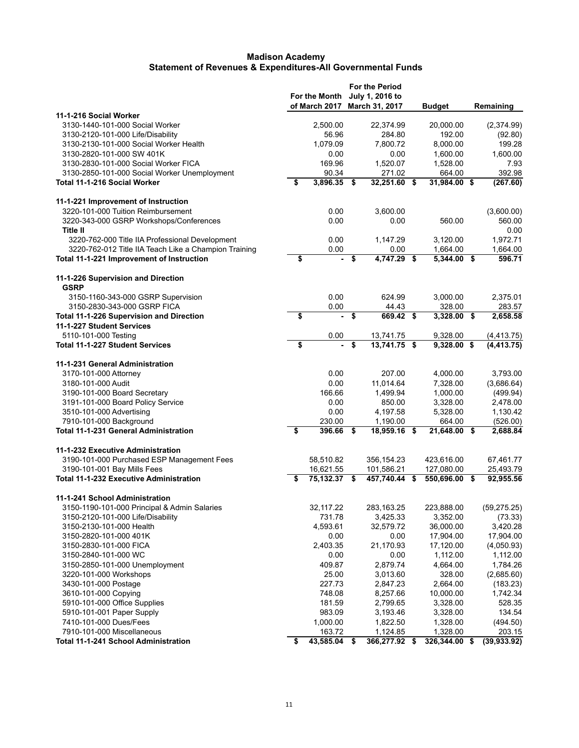|                                                          | For the Month<br>of March 2017 | <b>For the Period</b><br>July 1, 2016 to<br>March 31, 2017 | <b>Budget</b>       | Remaining              |
|----------------------------------------------------------|--------------------------------|------------------------------------------------------------|---------------------|------------------------|
| 11-1-216 Social Worker                                   |                                |                                                            |                     |                        |
| 3130-1440-101-000 Social Worker                          | 2,500.00                       | 22,374.99                                                  | 20,000.00           | (2,374.99)             |
| 3130-2120-101-000 Life/Disability                        | 56.96                          | 284.80                                                     | 192.00              | (92.80)                |
| 3130-2130-101-000 Social Worker Health                   | 1,079.09                       | 7,800.72                                                   | 8,000.00            | 199.28                 |
| 3130-2820-101-000 SW 401K                                | 0.00                           | 0.00                                                       | 1,600.00            | 1,600.00               |
| 3130-2830-101-000 Social Worker FICA                     | 169.96                         | 1,520.07                                                   | 1,528.00            | 7.93                   |
| 3130-2850-101-000 Social Worker Unemployment             | 90.34                          | 271.02                                                     | 664.00              | 392.98                 |
| Total 11-1-216 Social Worker                             | \$<br>3,896.35 \$              | 32,251.60 \$                                               | 31,984.00 \$        | (267.60)               |
| 11-1-221 Improvement of Instruction                      |                                |                                                            |                     |                        |
| 3220-101-000 Tuition Reimbursement                       | 0.00                           | 3,600.00                                                   |                     | (3,600.00)             |
| 3220-343-000 GSRP Workshops/Conferences                  | 0.00                           | 0.00                                                       | 560.00              | 560.00                 |
| <b>Title II</b>                                          |                                |                                                            |                     | 0.00                   |
| 3220-762-000 Title IIA Professional Development          | 0.00                           | 1,147.29                                                   | 3,120.00            | 1,972.71               |
| 3220-762-012 Title IIA Teach Like a Champion Training    | 0.00                           | \$<br>0.00<br>$4,747.29$ \$                                | 1,664.00            | 1,664.00<br>596.71     |
| Total 11-1-221 Improvement of Instruction                | \$                             |                                                            | 5,344.00 \$         |                        |
| 11-1-226 Supervision and Direction<br><b>GSRP</b>        |                                |                                                            |                     |                        |
| 3150-1160-343-000 GSRP Supervision                       | 0.00                           | 624.99                                                     | 3.000.00            | 2,375.01               |
| 3150-2830-343-000 GSRP FICA                              | 0.00                           | 44.43                                                      | 328.00              | 283.57                 |
| <b>Total 11-1-226 Supervision and Direction</b>          | \$<br>$\blacksquare$           | \$<br>669.42 \$                                            | 3,328.00 \$         | 2,658.58               |
| 11-1-227 Student Services                                |                                |                                                            |                     |                        |
| 5110-101-000 Testing                                     | 0.00                           | 13,741.75                                                  | 9,328.00            | (4, 413.75)            |
| <b>Total 11-1-227 Student Services</b>                   | \$                             | \$<br>$13,741.75$ \$                                       | $9,328.00$ \$       | (4, 413.75)            |
| 11-1-231 General Administration                          |                                |                                                            |                     |                        |
| 3170-101-000 Attorney                                    | 0.00                           | 207.00                                                     | 4,000.00            | 3,793.00               |
| 3180-101-000 Audit                                       | 0.00                           | 11,014.64                                                  | 7,328.00            | (3,686.64)             |
| 3190-101-000 Board Secretary                             | 166.66                         | 1,499.94                                                   | 1,000.00            | (499.94)               |
| 3191-101-000 Board Policy Service                        | 0.00                           | 850.00                                                     | 3,328.00            | 2,478.00               |
| 3510-101-000 Advertising                                 | 0.00                           | 4,197.58                                                   | 5,328.00            | 1,130.42               |
| 7910-101-000 Background                                  | 230.00                         | 1,190.00                                                   | 664.00              | (526.00)               |
| <b>Total 11-1-231 General Administration</b>             | \$<br>396.66                   | \$<br>18,959.16 \$                                         | 21,648.00 \$        | 2,688.84               |
| 11-1-232 Executive Administration                        |                                |                                                            |                     |                        |
| 3190-101-000 Purchased ESP Management Fees               | 58,510.82                      | 356,154.23                                                 | 423,616.00          | 67,461.77              |
| 3190-101-001 Bay Mills Fees                              | 16,621.55                      | 101,586.21                                                 | 127,080.00          | 25,493.79              |
| <b>Total 11-1-232 Executive Administration</b>           | 75,132.37                      | \$<br>457,740.44                                           | \$<br>550,696.00 \$ | 92,955.56              |
| 11-1-241 School Administration                           |                                |                                                            |                     |                        |
| 3150-1190-101-000 Principal & Admin Salaries             | 32,117.22                      | 283,163.25                                                 | 223,888.00          | (59, 275.25)           |
| 3150-2120-101-000 Life/Disability                        | 731.78                         | 3,425.33                                                   | 3,352.00            | (73.33)                |
| 3150-2130-101-000 Health                                 | 4,593.61                       | 32,579.72                                                  | 36,000.00           | 3,420.28               |
| 3150-2820-101-000 401K                                   | 0.00                           | 0.00                                                       | 17,904.00           | 17,904.00              |
| 3150-2830-101-000 FICA                                   | 2,403.35                       | 21,170.93                                                  | 17,120.00           | (4,050.93)             |
| 3150-2840-101-000 WC                                     | 0.00                           | 0.00                                                       | 1,112.00            | 1,112.00               |
| 3150-2850-101-000 Unemployment<br>3220-101-000 Workshops | 409.87<br>25.00                | 2,879.74<br>3,013.60                                       | 4,664.00<br>328.00  | 1,784.26<br>(2,685.60) |
| 3430-101-000 Postage                                     | 227.73                         | 2,847.23                                                   | 2,664.00            | (183.23)               |
| 3610-101-000 Copying                                     | 748.08                         | 8,257.66                                                   | 10,000.00           | 1,742.34               |
| 5910-101-000 Office Supplies                             | 181.59                         | 2,799.65                                                   | 3,328.00            | 528.35                 |
| 5910-101-001 Paper Supply                                | 983.09                         | 3,193.46                                                   | 3,328.00            | 134.54                 |
| 7410-101-000 Dues/Fees                                   | 1,000.00                       | 1,822.50                                                   | 1,328.00            | (494.50)               |
| 7910-101-000 Miscellaneous                               | 163.72                         | 1,124.85                                                   | 1,328.00            | 203.15                 |
| <b>Total 11-1-241 School Administration</b>              | \$<br>43,585.04 \$             | 366,277.92 \$                                              | 326,344.00 \$       | (39, 933.92)           |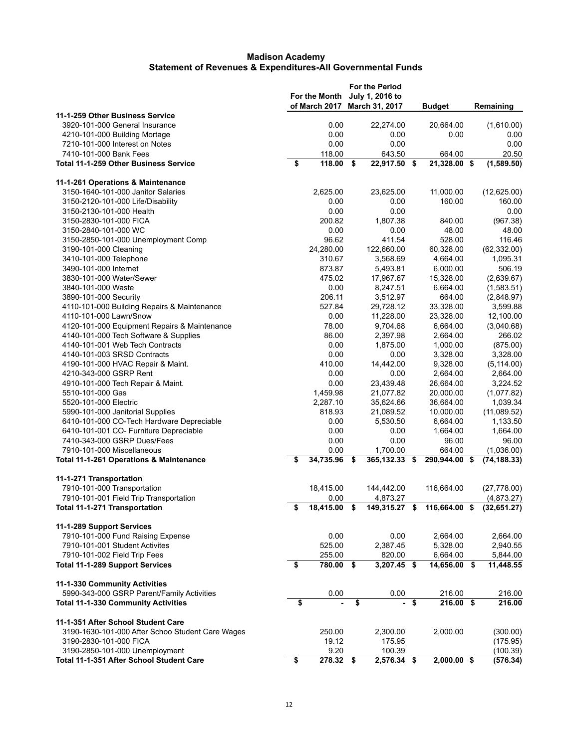|                                                                       |                         | For the Month<br>of March 2017 |                                      | <b>For the Period</b><br>July 1, 2016 to<br>March 31, 2017 |        | <b>Budget</b>               | Remaining                  |
|-----------------------------------------------------------------------|-------------------------|--------------------------------|--------------------------------------|------------------------------------------------------------|--------|-----------------------------|----------------------------|
| 11-1-259 Other Business Service                                       |                         |                                |                                      |                                                            |        |                             |                            |
| 3920-101-000 General Insurance                                        |                         | 0.00                           |                                      | 22,274.00                                                  |        | 20,664.00                   | (1,610.00)                 |
| 4210-101-000 Building Mortage                                         |                         | 0.00                           |                                      | 0.00                                                       |        | 0.00                        | 0.00                       |
| 7210-101-000 Interest on Notes                                        |                         | 0.00                           |                                      | 0.00                                                       |        |                             | 0.00                       |
| 7410-101-000 Bank Fees                                                |                         | 118.00                         |                                      | 643.50                                                     |        | 664.00                      | 20.50                      |
| <b>Total 11-1-259 Other Business Service</b>                          | \$                      | 118.00                         | \$                                   | 22,917.50 \$                                               |        | 21,328.00 \$                | (1,589.50)                 |
| 11-1-261 Operations & Maintenance                                     |                         |                                |                                      |                                                            |        |                             |                            |
| 3150-1640-101-000 Janitor Salaries                                    |                         | 2,625.00                       |                                      | 23,625.00                                                  |        | 11,000.00                   | (12,625.00)                |
| 3150-2120-101-000 Life/Disability                                     |                         | 0.00                           |                                      | 0.00                                                       |        | 160.00                      | 160.00                     |
| 3150-2130-101-000 Health                                              |                         | 0.00                           |                                      | 0.00                                                       |        |                             | 0.00                       |
| 3150-2830-101-000 FICA                                                |                         | 200.82                         |                                      | 1,807.38                                                   |        | 840.00                      | (967.38)                   |
| 3150-2840-101-000 WC                                                  |                         | 0.00                           |                                      | 0.00                                                       |        | 48.00                       | 48.00                      |
| 3150-2850-101-000 Unemployment Comp                                   |                         | 96.62                          |                                      | 411.54                                                     |        | 528.00                      | 116.46                     |
| 3190-101-000 Cleaning                                                 |                         | 24,280.00                      |                                      | 122,660.00                                                 |        | 60,328.00                   | (62, 332.00)               |
| 3410-101-000 Telephone                                                |                         | 310.67                         |                                      | 3,568.69                                                   |        | 4,664.00                    | 1,095.31                   |
| 3490-101-000 Internet                                                 |                         | 873.87                         |                                      | 5,493.81                                                   |        | 6,000.00                    | 506.19                     |
| 3830-101-000 Water/Sewer                                              |                         | 475.02                         |                                      | 17,967.67                                                  |        | 15,328.00                   | (2,639.67)                 |
| 3840-101-000 Waste                                                    |                         | 0.00                           |                                      | 8,247.51                                                   |        | 6,664.00                    | (1,583.51)                 |
| 3890-101-000 Security                                                 |                         | 206.11                         |                                      | 3,512.97                                                   |        | 664.00                      | (2,848.97)                 |
| 4110-101-000 Building Repairs & Maintenance                           |                         | 527.84                         |                                      | 29,728.12                                                  |        | 33,328.00                   | 3,599.88                   |
| 4110-101-000 Lawn/Snow                                                |                         | 0.00                           |                                      | 11,228.00                                                  |        | 23,328.00                   | 12,100.00                  |
| 4120-101-000 Equipment Repairs & Maintenance                          |                         | 78.00                          |                                      | 9,704.68                                                   |        | 6,664.00                    | (3,040.68)                 |
| 4140-101-000 Tech Software & Supplies                                 |                         | 86.00                          |                                      | 2,397.98                                                   |        | 2,664.00                    | 266.02                     |
| 4140-101-001 Web Tech Contracts                                       |                         | 0.00                           |                                      | 1,875.00                                                   |        | 1,000.00                    | (875.00)                   |
| 4140-101-003 SRSD Contracts                                           |                         | 0.00                           |                                      | 0.00                                                       |        | 3,328.00                    | 3,328.00                   |
| 4190-101-000 HVAC Repair & Maint.                                     |                         | 410.00                         |                                      | 14,442.00                                                  |        | 9,328.00                    | (5, 114.00)                |
| 4210-343-000 GSRP Rent                                                |                         | 0.00                           |                                      | 0.00                                                       |        | 2,664.00                    | 2,664.00                   |
| 4910-101-000 Tech Repair & Maint.                                     |                         | 0.00                           |                                      | 23,439.48                                                  |        | 26,664.00                   | 3,224.52                   |
| 5510-101-000 Gas                                                      |                         | 1,459.98                       |                                      | 21,077.82                                                  |        | 20,000.00                   | (1,077.82)                 |
| 5520-101-000 Electric                                                 |                         | 2,287.10                       |                                      | 35,624.66                                                  |        | 36,664.00                   | 1,039.34                   |
| 5990-101-000 Janitorial Supplies                                      |                         | 818.93                         |                                      | 21,089.52                                                  |        | 10,000.00                   | (11,089.52)                |
| 6410-101-000 CO-Tech Hardware Depreciable                             |                         | 0.00                           |                                      | 5,530.50                                                   |        | 6,664.00                    | 1,133.50                   |
| 6410-101-001 CO- Furniture Depreciable                                |                         | 0.00                           |                                      | 0.00                                                       |        | 1,664.00                    | 1,664.00                   |
| 7410-343-000 GSRP Dues/Fees                                           |                         | 0.00                           |                                      | 0.00                                                       |        | 96.00                       | 96.00                      |
| 7910-101-000 Miscellaneous<br>Total 11-1-261 Operations & Maintenance | \$                      | 0.00<br>$34,735.96$ \$         |                                      | 1,700.00<br>365,132.33 \$                                  |        | 664.00<br>290,944.00 \$     | (1,036.00)<br>(74, 188.33) |
|                                                                       |                         |                                |                                      |                                                            |        |                             |                            |
| 11-1-271 Transportation                                               |                         |                                |                                      |                                                            |        |                             |                            |
| 7910-101-000 Transportation                                           |                         | 18,415.00                      |                                      | 144,442.00                                                 |        | 116,664.00                  | (27, 778.00)               |
| 7910-101-001 Field Trip Transportation                                |                         | 0.00                           |                                      | 4,873.27                                                   |        |                             | (4,873.27)                 |
| Total 11-1-271 Transportation                                         |                         | 18,415.00                      |                                      |                                                            |        | 149,315.27 \$ 116,664.00 \$ | (32, 651.27)               |
| 11-1-289 Support Services                                             |                         |                                |                                      |                                                            |        |                             |                            |
| 7910-101-000 Fund Raising Expense                                     |                         | 0.00                           |                                      | 0.00                                                       |        | 2,664.00                    | 2,664.00                   |
| 7910-101-001 Student Activites                                        |                         | 525.00                         |                                      | 2,387.45                                                   |        | 5,328.00                    | 2,940.55                   |
| 7910-101-002 Field Trip Fees                                          |                         | 255.00                         |                                      | 820.00                                                     |        | 6,664.00                    | 5,844.00                   |
| <b>Total 11-1-289 Support Services</b>                                | \$                      | 780.00 \$                      |                                      | 3,207.45 \$                                                |        | 14,656.00 \$                | 11,448.55                  |
| 11-1-330 Community Activities                                         |                         |                                |                                      |                                                            |        |                             |                            |
| 5990-343-000 GSRP Parent/Family Activities                            |                         | 0.00                           |                                      | 0.00                                                       |        | 216.00                      | 216.00                     |
| <b>Total 11-1-330 Community Activities</b>                            | \$                      |                                | $\overline{\boldsymbol{\mathsf{s}}}$ |                                                            | $-$ \$ | $216.00$ \$                 | 216.00                     |
| 11-1-351 After School Student Care                                    |                         |                                |                                      |                                                            |        |                             |                            |
| 3190-1630-101-000 After Schoo Student Care Wages                      |                         | 250.00                         |                                      | 2,300.00                                                   |        | 2,000.00                    | (300.00)                   |
| 3190-2830-101-000 FICA                                                |                         | 19.12                          |                                      | 175.95                                                     |        |                             | (175.95)                   |
| 3190-2850-101-000 Unemployment                                        |                         | 9.20                           |                                      | 100.39                                                     |        |                             | (100.39)                   |
| Total 11-1-351 After School Student Care                              | $\overline{\mathbf{s}}$ | $278.32$ \$                    |                                      | $2,576.34$ \$                                              |        | $2,000.00$ \$               | (576.34)                   |